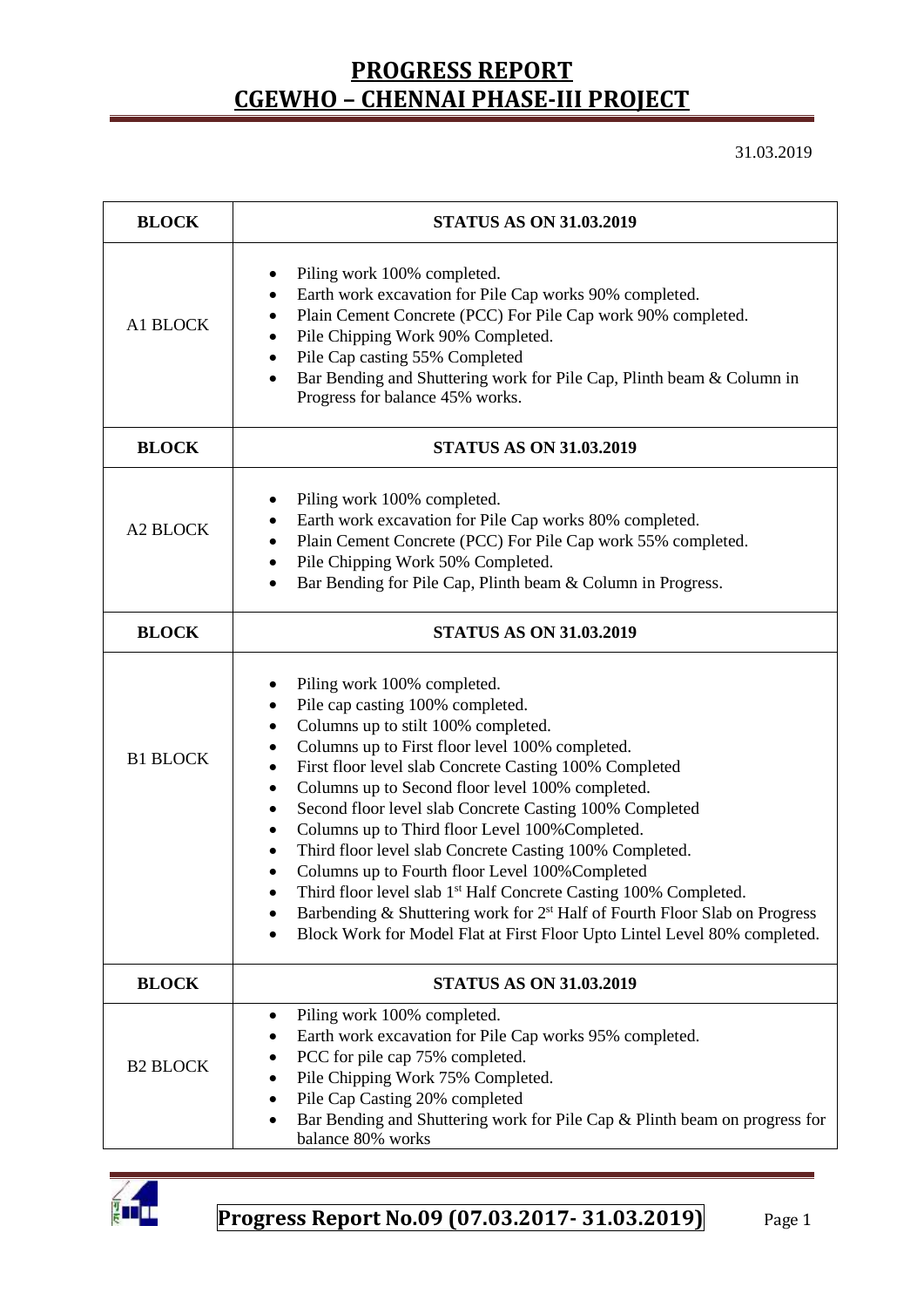31.03.2019

| <b>BLOCK</b>    | <b>STATUS AS ON 31.03.2019</b>                                                                                                                                                                                                                                                                                                                                                                                                                                                                                                                                                                                                                                                                                                                                                                                             |  |  |  |
|-----------------|----------------------------------------------------------------------------------------------------------------------------------------------------------------------------------------------------------------------------------------------------------------------------------------------------------------------------------------------------------------------------------------------------------------------------------------------------------------------------------------------------------------------------------------------------------------------------------------------------------------------------------------------------------------------------------------------------------------------------------------------------------------------------------------------------------------------------|--|--|--|
| A1 BLOCK        | Piling work 100% completed.<br>Earth work excavation for Pile Cap works 90% completed.<br>٠<br>Plain Cement Concrete (PCC) For Pile Cap work 90% completed.<br>٠<br>Pile Chipping Work 90% Completed.<br>٠<br>Pile Cap casting 55% Completed<br>٠<br>Bar Bending and Shuttering work for Pile Cap, Plinth beam & Column in<br>Progress for balance 45% works.                                                                                                                                                                                                                                                                                                                                                                                                                                                              |  |  |  |
| <b>BLOCK</b>    | <b>STATUS AS ON 31.03.2019</b>                                                                                                                                                                                                                                                                                                                                                                                                                                                                                                                                                                                                                                                                                                                                                                                             |  |  |  |
| <b>A2 BLOCK</b> | Piling work 100% completed.<br>Earth work excavation for Pile Cap works 80% completed.<br>٠<br>Plain Cement Concrete (PCC) For Pile Cap work 55% completed.<br>٠<br>Pile Chipping Work 50% Completed.<br>$\bullet$<br>Bar Bending for Pile Cap, Plinth beam & Column in Progress.                                                                                                                                                                                                                                                                                                                                                                                                                                                                                                                                          |  |  |  |
| <b>BLOCK</b>    | <b>STATUS AS ON 31.03.2019</b>                                                                                                                                                                                                                                                                                                                                                                                                                                                                                                                                                                                                                                                                                                                                                                                             |  |  |  |
| <b>B1 BLOCK</b> | Piling work 100% completed.<br>Pile cap casting 100% completed.<br>٠<br>Columns up to stilt 100% completed.<br>٠<br>Columns up to First floor level 100% completed.<br>٠<br>First floor level slab Concrete Casting 100% Completed<br>٠<br>Columns up to Second floor level 100% completed.<br>$\bullet$<br>Second floor level slab Concrete Casting 100% Completed<br>٠<br>Columns up to Third floor Level 100% Completed.<br>$\bullet$<br>Third floor level slab Concrete Casting 100% Completed.<br>$\bullet$<br>Columns up to Fourth floor Level 100% Completed<br>Third floor level slab 1 <sup>st</sup> Half Concrete Casting 100% Completed.<br>Barbending & Shuttering work for 2 <sup>st</sup> Half of Fourth Floor Slab on Progress<br>Block Work for Model Flat at First Floor Upto Lintel Level 80% completed. |  |  |  |
| <b>BLOCK</b>    | <b>STATUS AS ON 31.03.2019</b>                                                                                                                                                                                                                                                                                                                                                                                                                                                                                                                                                                                                                                                                                                                                                                                             |  |  |  |
| <b>B2 BLOCK</b> | Piling work 100% completed.<br>٠<br>Earth work excavation for Pile Cap works 95% completed.<br>PCC for pile cap 75% completed.<br>Pile Chipping Work 75% Completed.<br>Pile Cap Casting 20% completed<br>Bar Bending and Shuttering work for Pile Cap & Plinth beam on progress for<br>balance 80% works                                                                                                                                                                                                                                                                                                                                                                                                                                                                                                                   |  |  |  |

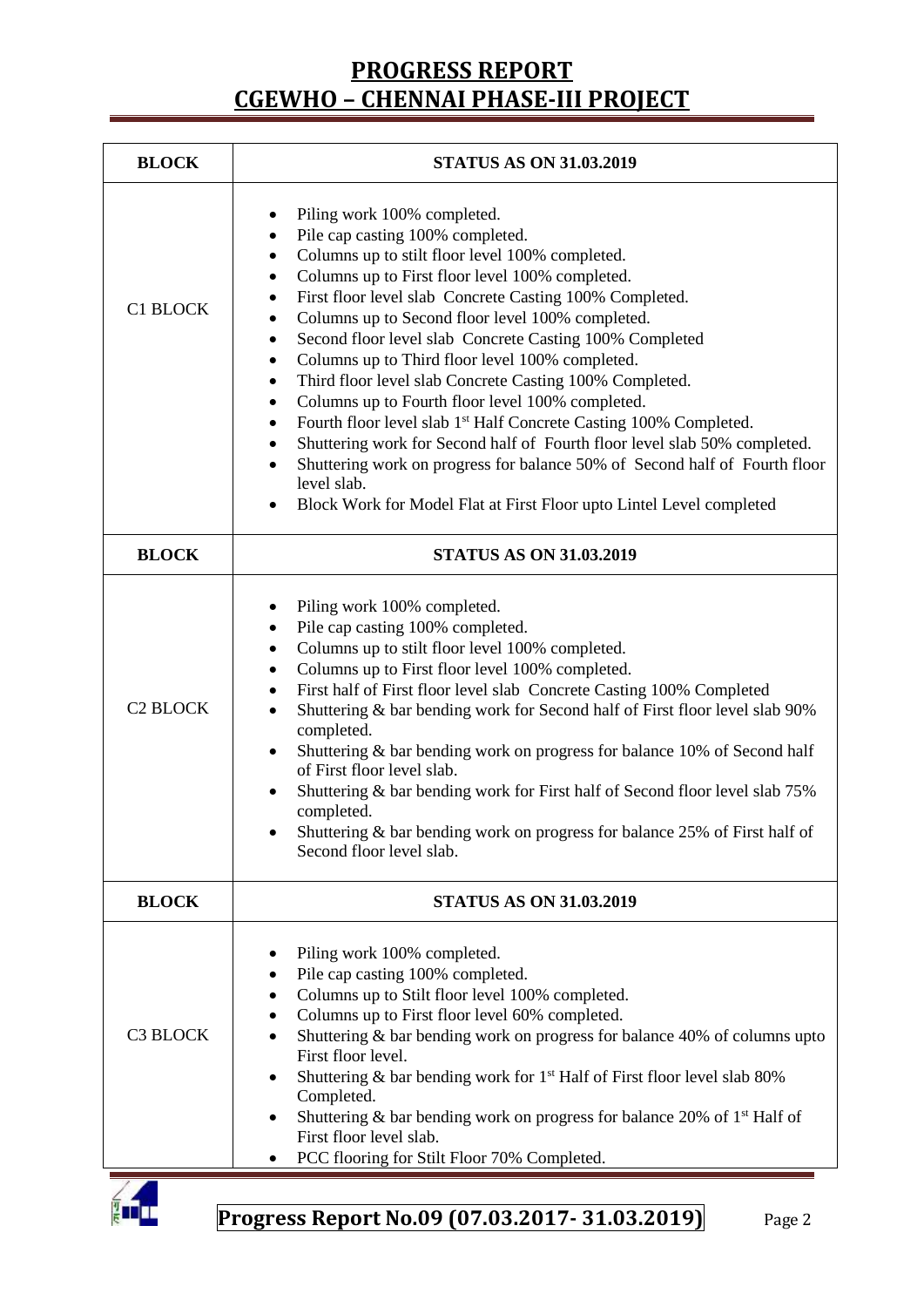| <b>STATUS AS ON 31.03.2019</b>                                                                                                                                                                                                                                                                                                                                                                                                                                                                                                                                                                                                                                                                                                                                                                                                                                                                                                                                             |  |  |  |
|----------------------------------------------------------------------------------------------------------------------------------------------------------------------------------------------------------------------------------------------------------------------------------------------------------------------------------------------------------------------------------------------------------------------------------------------------------------------------------------------------------------------------------------------------------------------------------------------------------------------------------------------------------------------------------------------------------------------------------------------------------------------------------------------------------------------------------------------------------------------------------------------------------------------------------------------------------------------------|--|--|--|
| Piling work 100% completed.<br>٠<br>Pile cap casting 100% completed.<br>$\bullet$<br>Columns up to stilt floor level 100% completed.<br>٠<br>Columns up to First floor level 100% completed.<br>$\bullet$<br>First floor level slab Concrete Casting 100% Completed.<br>٠<br>Columns up to Second floor level 100% completed.<br>$\bullet$<br>Second floor level slab Concrete Casting 100% Completed<br>$\bullet$<br>Columns up to Third floor level 100% completed.<br>٠<br>Third floor level slab Concrete Casting 100% Completed.<br>٠<br>Columns up to Fourth floor level 100% completed.<br>٠<br>Fourth floor level slab 1 <sup>st</sup> Half Concrete Casting 100% Completed.<br>٠<br>Shuttering work for Second half of Fourth floor level slab 50% completed.<br>٠<br>Shuttering work on progress for balance 50% of Second half of Fourth floor<br>$\bullet$<br>level slab.<br>Block Work for Model Flat at First Floor upto Lintel Level completed<br>$\bullet$ |  |  |  |
| <b>STATUS AS ON 31.03.2019</b>                                                                                                                                                                                                                                                                                                                                                                                                                                                                                                                                                                                                                                                                                                                                                                                                                                                                                                                                             |  |  |  |
| Piling work 100% completed.<br>Pile cap casting 100% completed.<br>Columns up to stilt floor level 100% completed.<br>٠<br>Columns up to First floor level 100% completed.<br>٠<br>First half of First floor level slab Concrete Casting 100% Completed<br>٠<br>Shuttering & bar bending work for Second half of First floor level slab 90%<br>٠<br>completed.<br>Shuttering & bar bending work on progress for balance 10% of Second half<br>$\bullet$<br>of First floor level slab.<br>Shuttering & bar bending work for First half of Second floor level slab 75%<br>٠<br>completed.<br>Shuttering & bar bending work on progress for balance 25% of First half of<br>Second floor level slab.                                                                                                                                                                                                                                                                          |  |  |  |
| <b>STATUS AS ON 31.03.2019</b>                                                                                                                                                                                                                                                                                                                                                                                                                                                                                                                                                                                                                                                                                                                                                                                                                                                                                                                                             |  |  |  |
| Piling work 100% completed.<br>Pile cap casting 100% completed.<br>Columns up to Stilt floor level 100% completed.<br>Columns up to First floor level 60% completed.<br>Shuttering & bar bending work on progress for balance 40% of columns upto<br>First floor level.<br>Shuttering $\&$ bar bending work for 1 <sup>st</sup> Half of First floor level slab 80%<br>٠<br>Completed.<br>Shuttering & bar bending work on progress for balance 20% of $1st$ Half of<br>First floor level slab.<br>PCC flooring for Stilt Floor 70% Completed.                                                                                                                                                                                                                                                                                                                                                                                                                              |  |  |  |
|                                                                                                                                                                                                                                                                                                                                                                                                                                                                                                                                                                                                                                                                                                                                                                                                                                                                                                                                                                            |  |  |  |

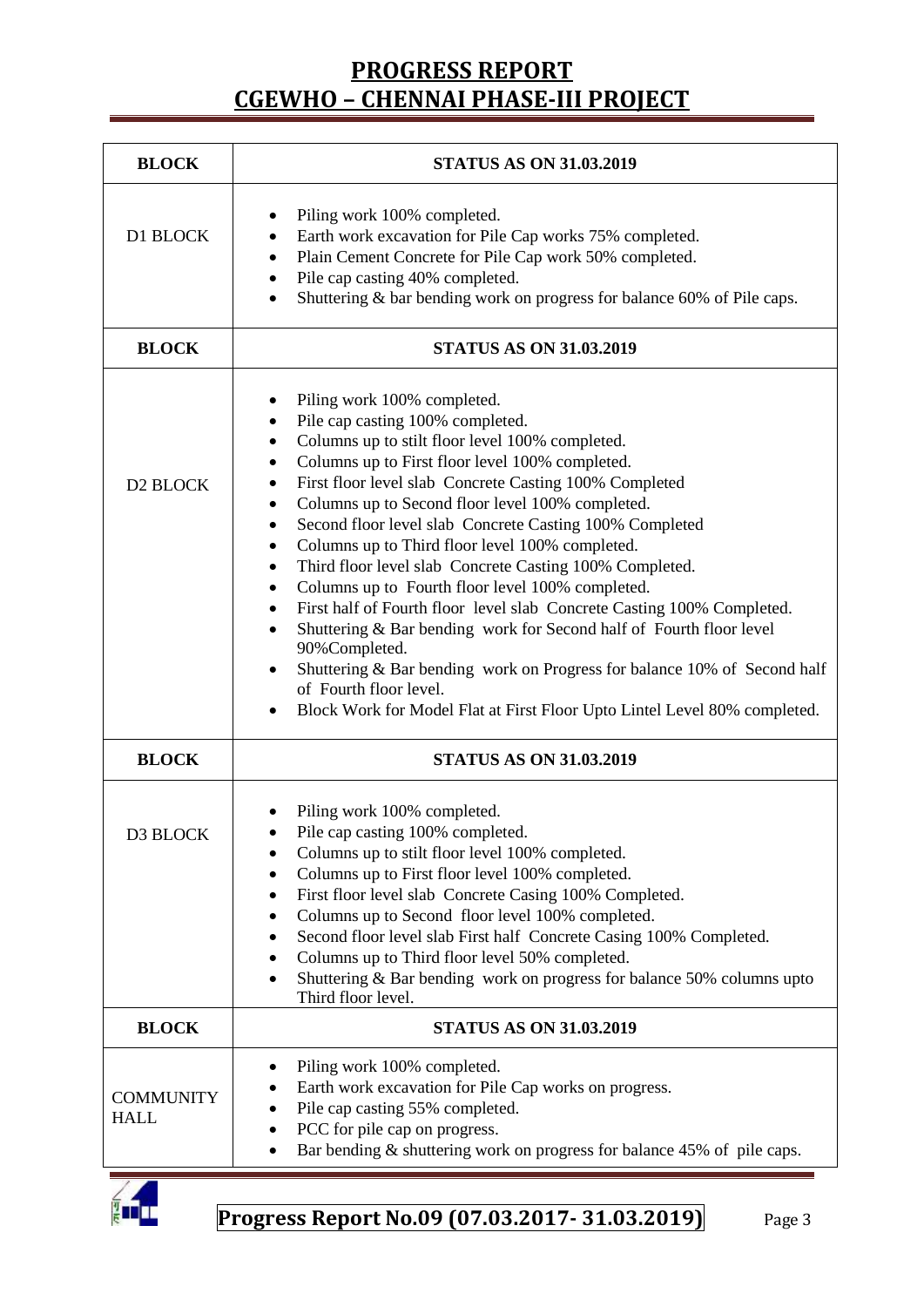| <b>BLOCK</b>                    | <b>STATUS AS ON 31.03.2019</b>                                                                                                                                                                                                                                                                                                                                                                                                                                                                                                                                                                                                                                                                                                                                                                                                                                                                                                                         |  |  |  |  |
|---------------------------------|--------------------------------------------------------------------------------------------------------------------------------------------------------------------------------------------------------------------------------------------------------------------------------------------------------------------------------------------------------------------------------------------------------------------------------------------------------------------------------------------------------------------------------------------------------------------------------------------------------------------------------------------------------------------------------------------------------------------------------------------------------------------------------------------------------------------------------------------------------------------------------------------------------------------------------------------------------|--|--|--|--|
| D1 BLOCK                        | Piling work 100% completed.<br>Earth work excavation for Pile Cap works 75% completed.<br>٠<br>Plain Cement Concrete for Pile Cap work 50% completed.<br>٠<br>Pile cap casting 40% completed.<br>٠<br>Shuttering & bar bending work on progress for balance 60% of Pile caps.<br>$\bullet$                                                                                                                                                                                                                                                                                                                                                                                                                                                                                                                                                                                                                                                             |  |  |  |  |
| <b>BLOCK</b>                    | <b>STATUS AS ON 31.03.2019</b>                                                                                                                                                                                                                                                                                                                                                                                                                                                                                                                                                                                                                                                                                                                                                                                                                                                                                                                         |  |  |  |  |
| D2 BLOCK                        | Piling work 100% completed.<br>٠<br>Pile cap casting 100% completed.<br>$\bullet$<br>Columns up to stilt floor level 100% completed.<br>٠<br>Columns up to First floor level 100% completed.<br>٠<br>First floor level slab Concrete Casting 100% Completed<br>٠<br>Columns up to Second floor level 100% completed.<br>٠<br>Second floor level slab Concrete Casting 100% Completed<br>٠<br>Columns up to Third floor level 100% completed.<br>٠<br>Third floor level slab Concrete Casting 100% Completed.<br>٠<br>Columns up to Fourth floor level 100% completed.<br>٠<br>First half of Fourth floor level slab Concrete Casting 100% Completed.<br>٠<br>Shuttering & Bar bending work for Second half of Fourth floor level<br>$\bullet$<br>90%Completed.<br>Shuttering & Bar bending work on Progress for balance 10% of Second half<br>٠<br>of Fourth floor level.<br>Block Work for Model Flat at First Floor Upto Lintel Level 80% completed. |  |  |  |  |
| <b>BLOCK</b>                    | <b>STATUS AS ON 31.03.2019</b>                                                                                                                                                                                                                                                                                                                                                                                                                                                                                                                                                                                                                                                                                                                                                                                                                                                                                                                         |  |  |  |  |
| D3 BLOCK                        | Piling work 100% completed.<br>Pile cap casting 100% completed.<br>Columns up to stilt floor level 100% completed.<br>Columns up to First floor level 100% completed.<br>٠<br>First floor level slab Concrete Casing 100% Completed.<br>٠<br>Columns up to Second floor level 100% completed.<br>Second floor level slab First half Concrete Casing 100% Completed.<br>Columns up to Third floor level 50% completed.<br>Shuttering $&$ Bar bending work on progress for balance 50% columns upto<br>Third floor level.                                                                                                                                                                                                                                                                                                                                                                                                                                |  |  |  |  |
| <b>BLOCK</b>                    | <b>STATUS AS ON 31.03.2019</b>                                                                                                                                                                                                                                                                                                                                                                                                                                                                                                                                                                                                                                                                                                                                                                                                                                                                                                                         |  |  |  |  |
| <b>COMMUNITY</b><br><b>HALL</b> | Piling work 100% completed.<br>Earth work excavation for Pile Cap works on progress.<br>Pile cap casting 55% completed.<br>PCC for pile cap on progress.<br>Bar bending & shuttering work on progress for balance 45% of pile caps.                                                                                                                                                                                                                                                                                                                                                                                                                                                                                                                                                                                                                                                                                                                    |  |  |  |  |

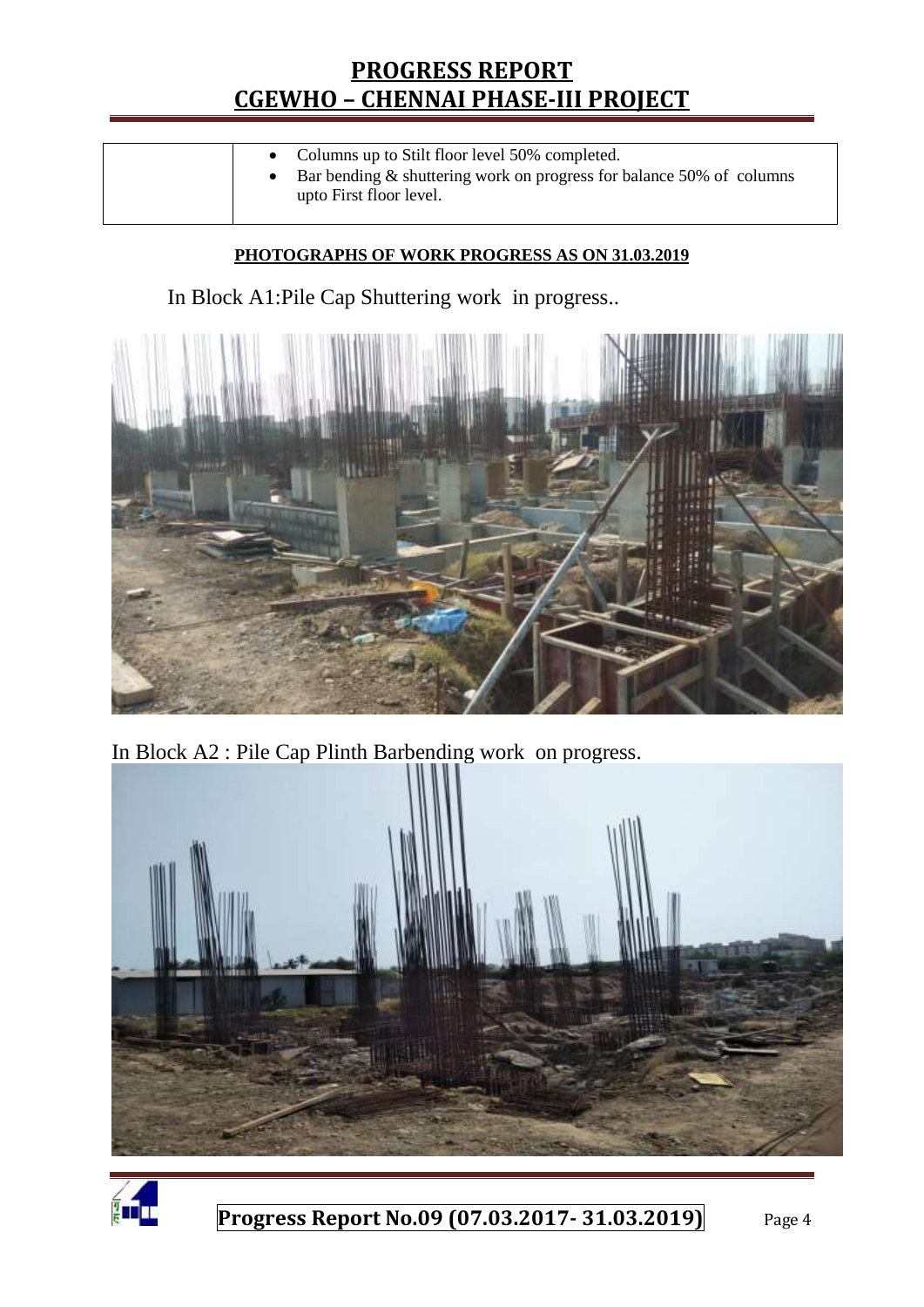| upto First floor level. |  | • Columns up to Stilt floor level 50% completed.<br>Bar bending $\&$ shuttering work on progress for balance 50% of columns |
|-------------------------|--|-----------------------------------------------------------------------------------------------------------------------------|
|-------------------------|--|-----------------------------------------------------------------------------------------------------------------------------|

### **PHOTOGRAPHS OF WORK PROGRESS AS ON 31.03.2019**

In Block A1:Pile Cap Shuttering work in progress..



In Block A2 : Pile Cap Plinth Barbending work on progress.



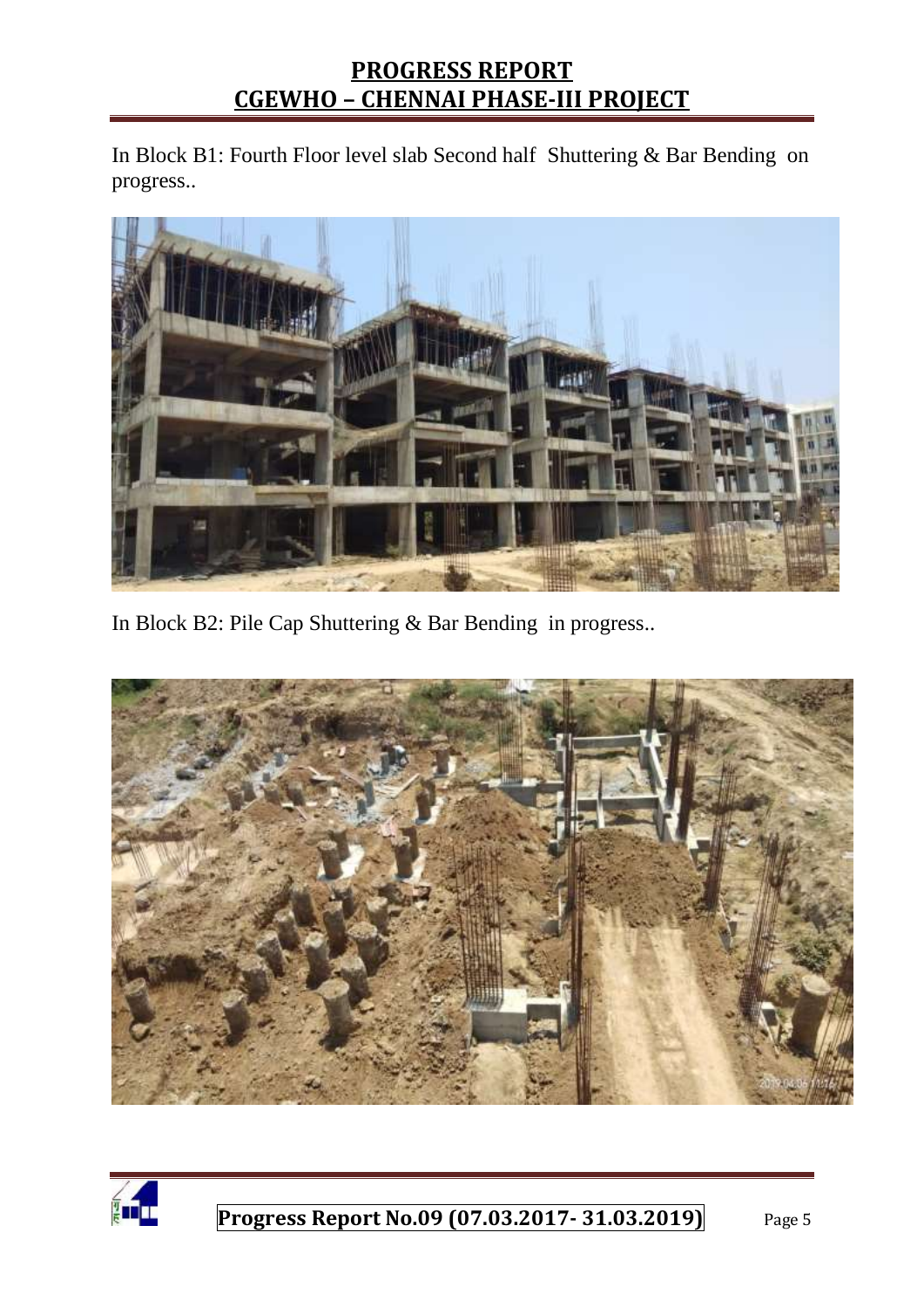In Block B1: Fourth Floor level slab Second half Shuttering & Bar Bending on progress..



In Block B2: Pile Cap Shuttering & Bar Bending in progress..



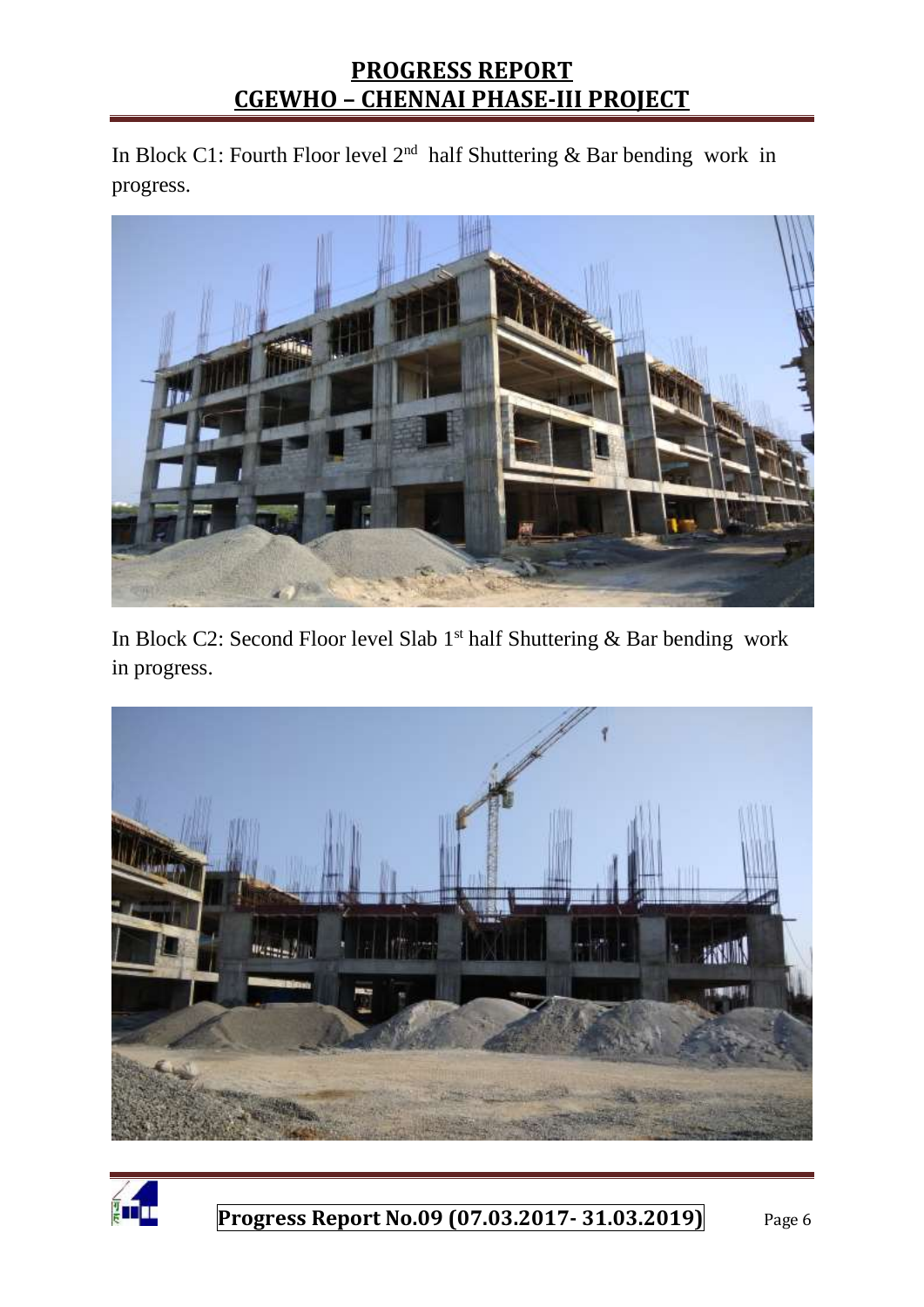In Block C1: Fourth Floor level  $2<sup>nd</sup>$  half Shuttering & Bar bending work in progress.



In Block C2: Second Floor level Slab  $1<sup>st</sup>$  half Shuttering & Bar bending work in progress.



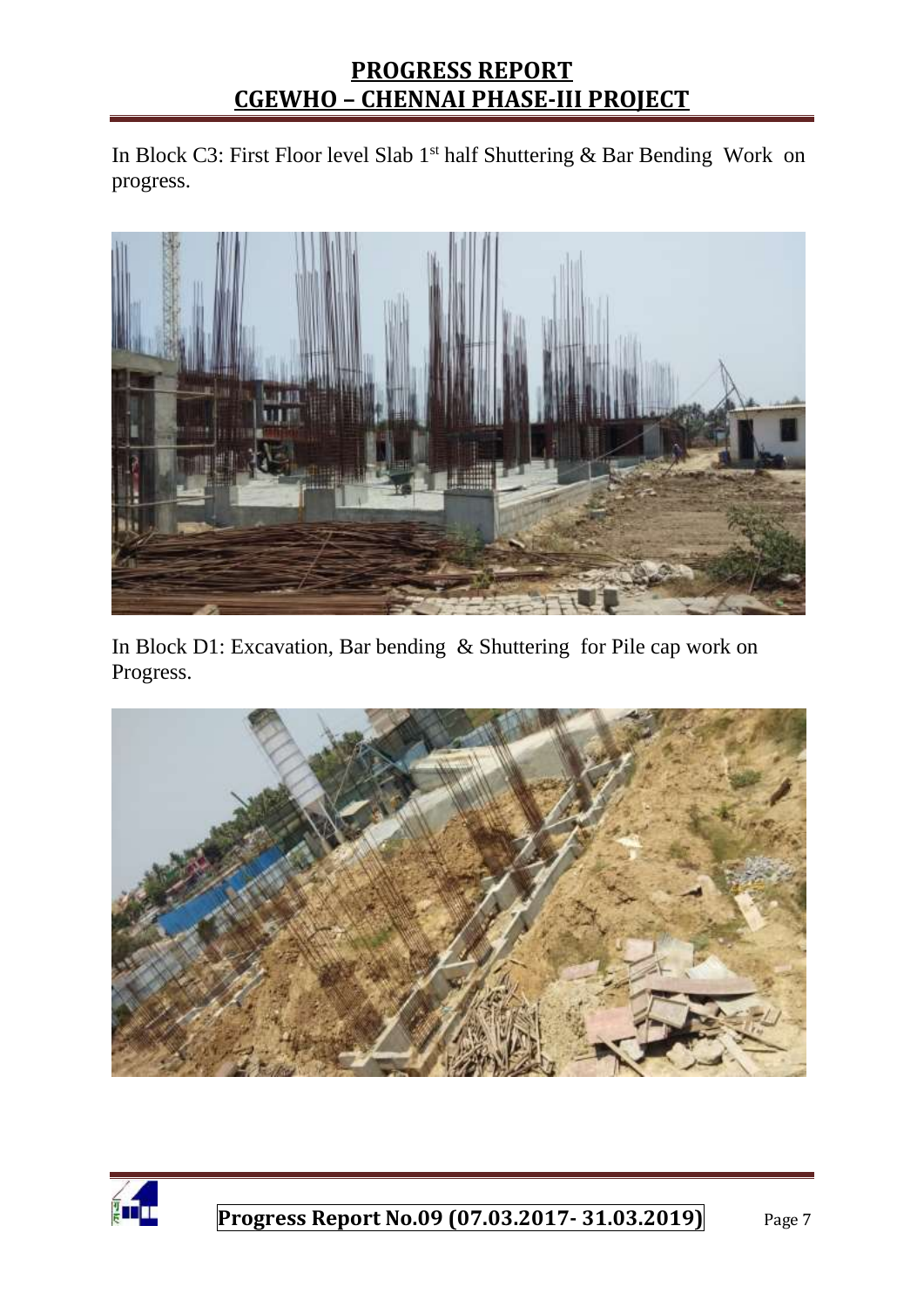In Block C3: First Floor level Slab 1<sup>st</sup> half Shuttering & Bar Bending Work on progress.



In Block D1: Excavation, Bar bending & Shuttering for Pile cap work on Progress.



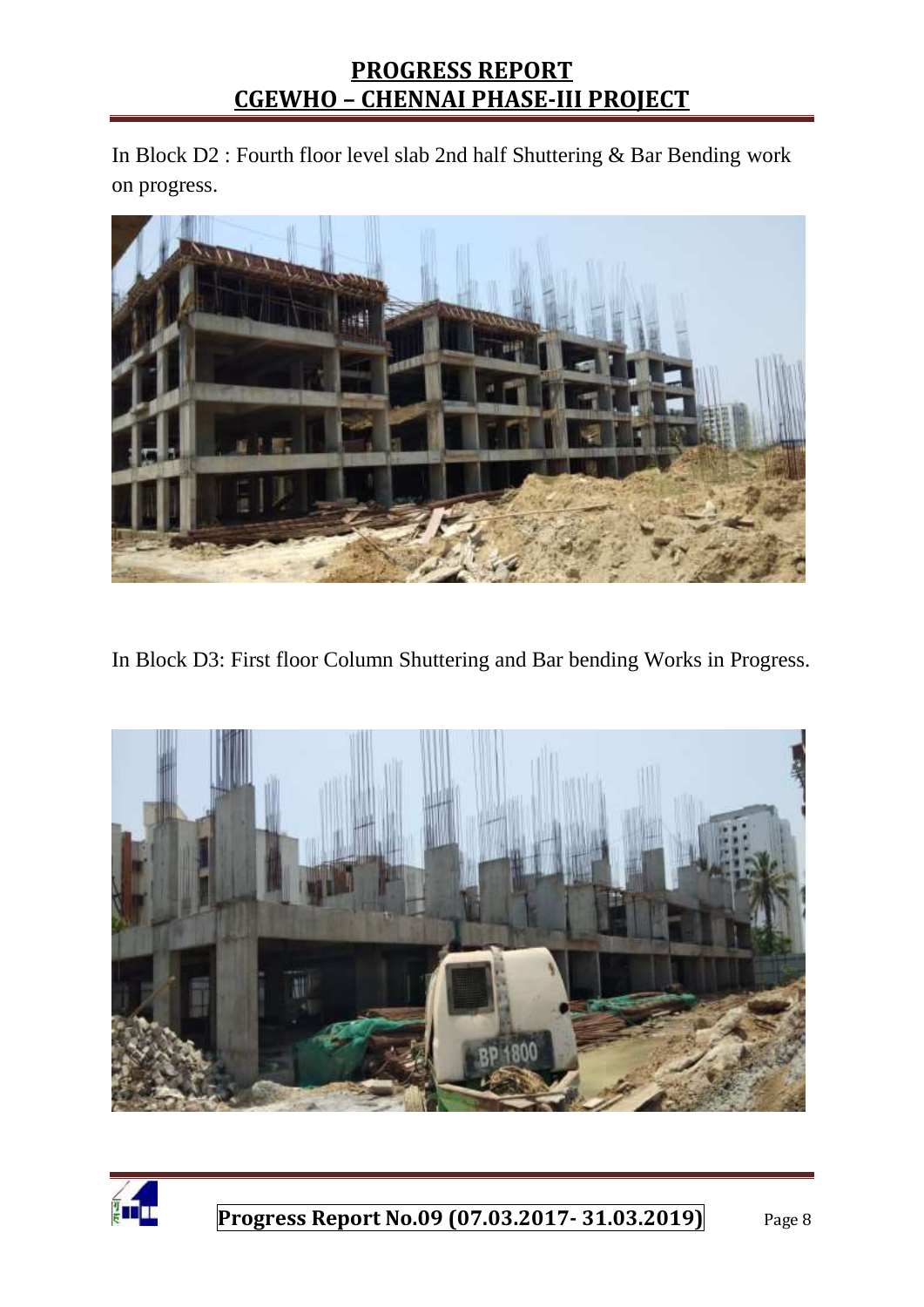In Block D2 : Fourth floor level slab 2nd half Shuttering & Bar Bending work on progress.



In Block D3: First floor Column Shuttering and Bar bending Works in Progress.



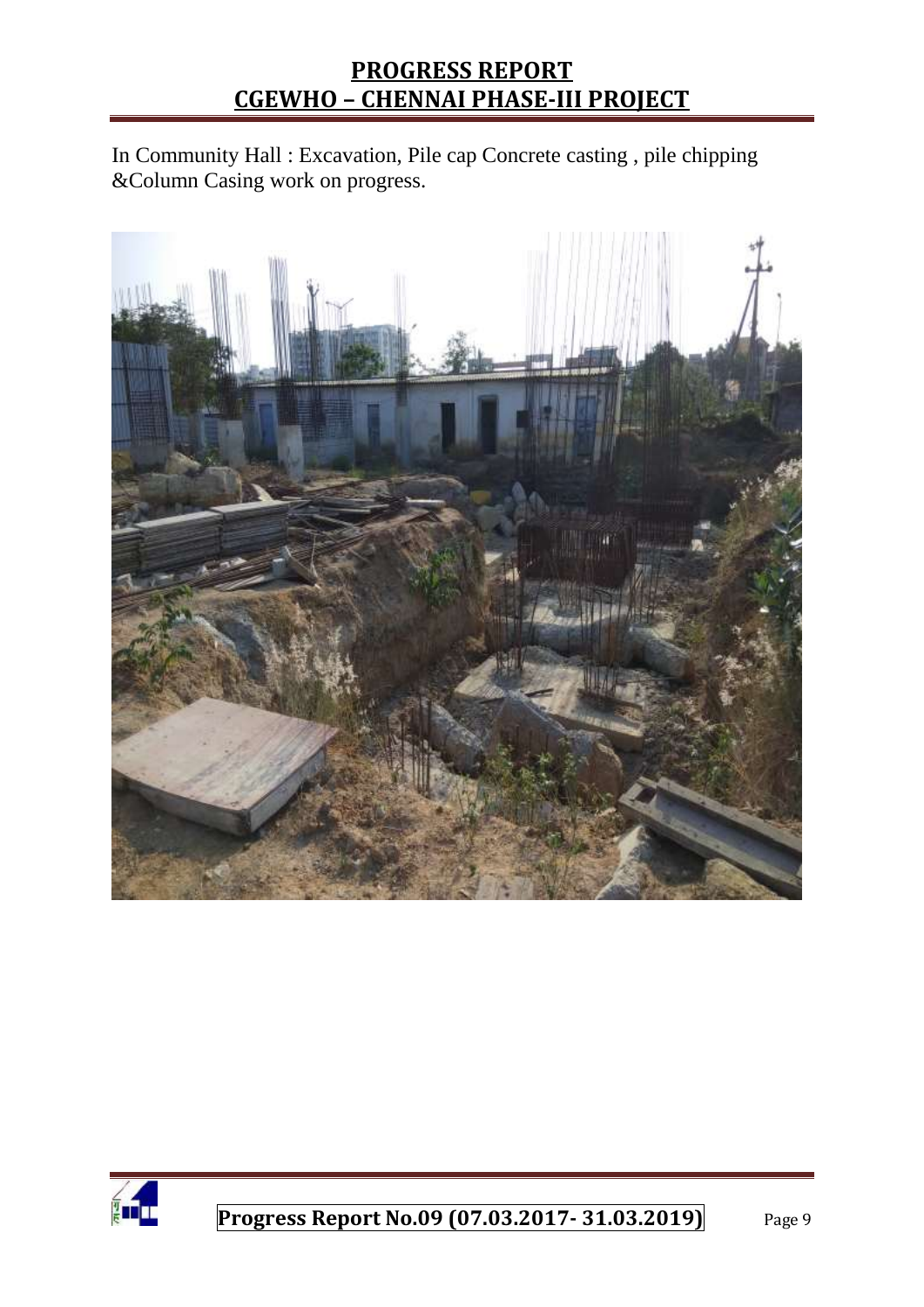In Community Hall : Excavation, Pile cap Concrete casting , pile chipping &Column Casing work on progress.



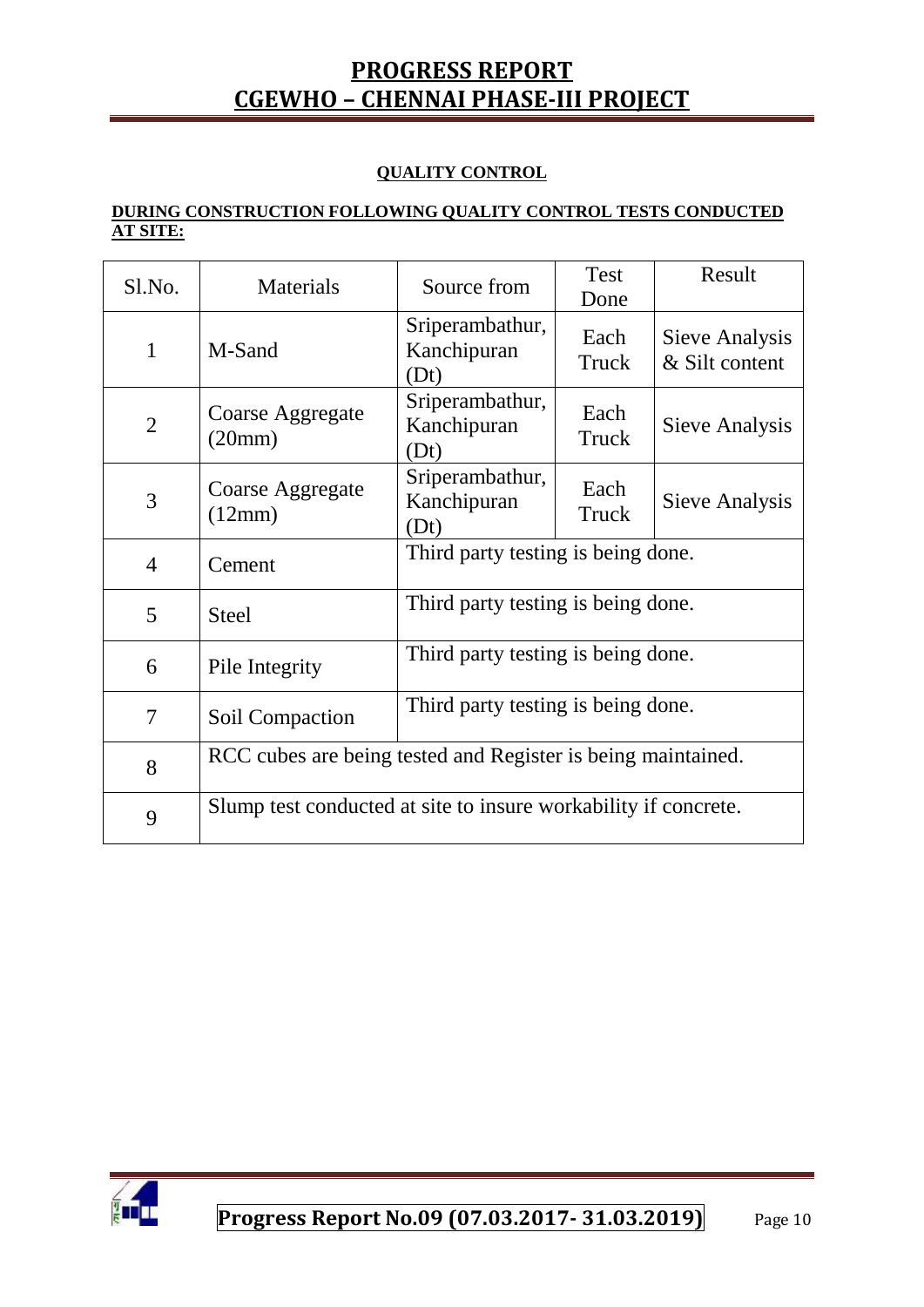#### **QUALITY CONTROL**

#### **DURING CONSTRUCTION FOLLOWING QUALITY CONTROL TESTS CONDUCTED AT SITE:**

| Sl.No.         | Materials                                                       | Source from                            | <b>Test</b><br>Done | Result                           |  |
|----------------|-----------------------------------------------------------------|----------------------------------------|---------------------|----------------------------------|--|
| $\mathbf 1$    | M-Sand                                                          | Sriperambathur,<br>Kanchipuran<br>(Dt) | Each<br>Truck       | Sieve Analysis<br>& Silt content |  |
| $\overline{2}$ | Coarse Aggregate<br>(20mm)                                      | Sriperambathur,<br>Kanchipuran<br>(Dt) | Each<br>Truck       | Sieve Analysis                   |  |
| 3              | Coarse Aggregate<br>(12mm)                                      | Sriperambathur,<br>Kanchipuran<br>(Dt) | Each<br>Truck       | Sieve Analysis                   |  |
| $\overline{4}$ | Cement                                                          | Third party testing is being done.     |                     |                                  |  |
| 5              | <b>Steel</b>                                                    | Third party testing is being done.     |                     |                                  |  |
| 6              | Pile Integrity                                                  | Third party testing is being done.     |                     |                                  |  |
| 7              | Soil Compaction                                                 | Third party testing is being done.     |                     |                                  |  |
| 8              | RCC cubes are being tested and Register is being maintained.    |                                        |                     |                                  |  |
| 9              | Slump test conducted at site to insure workability if concrete. |                                        |                     |                                  |  |

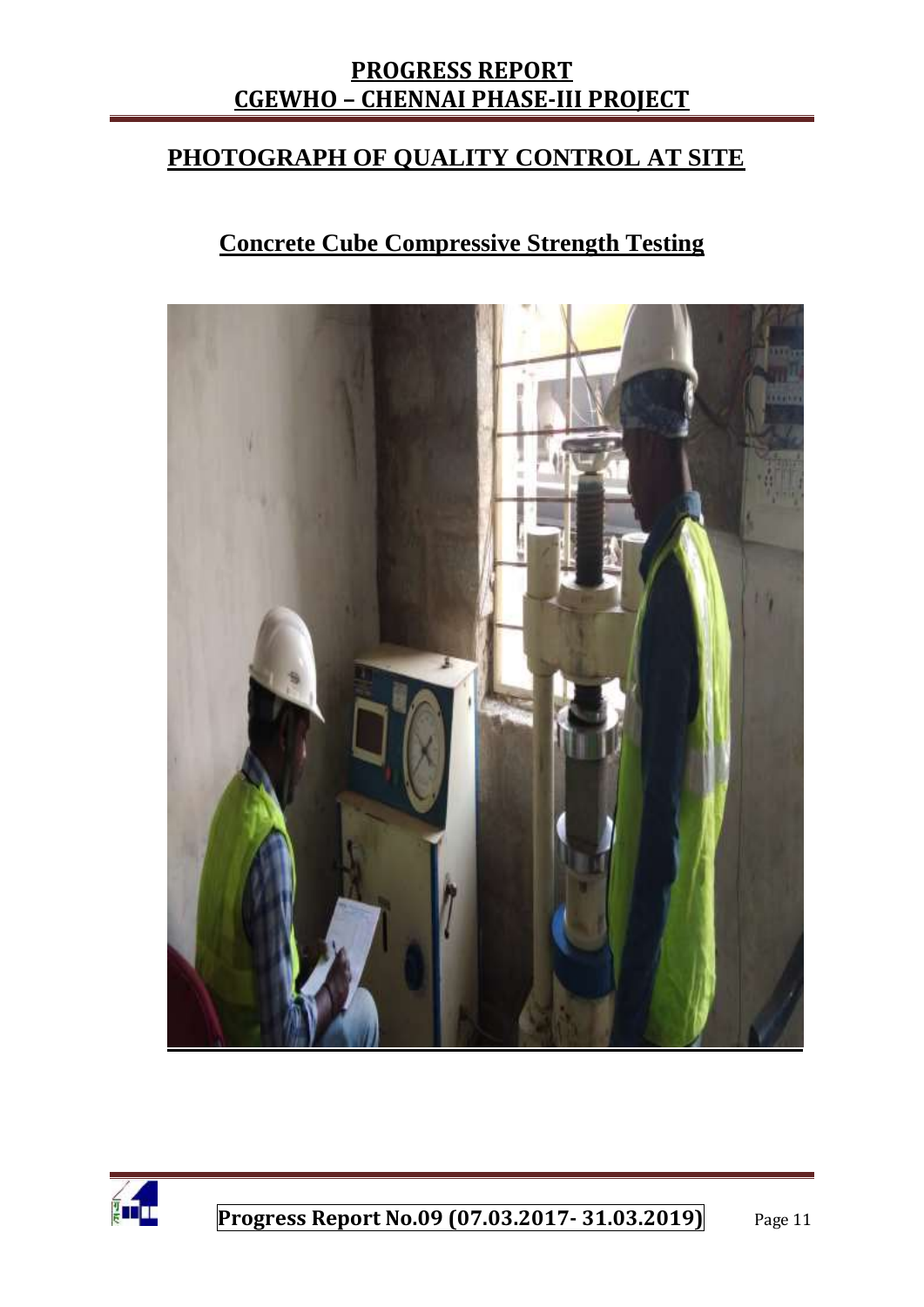## **PHOTOGRAPH OF QUALITY CONTROL AT SITE**

## **Concrete Cube Compressive Strength Testing**



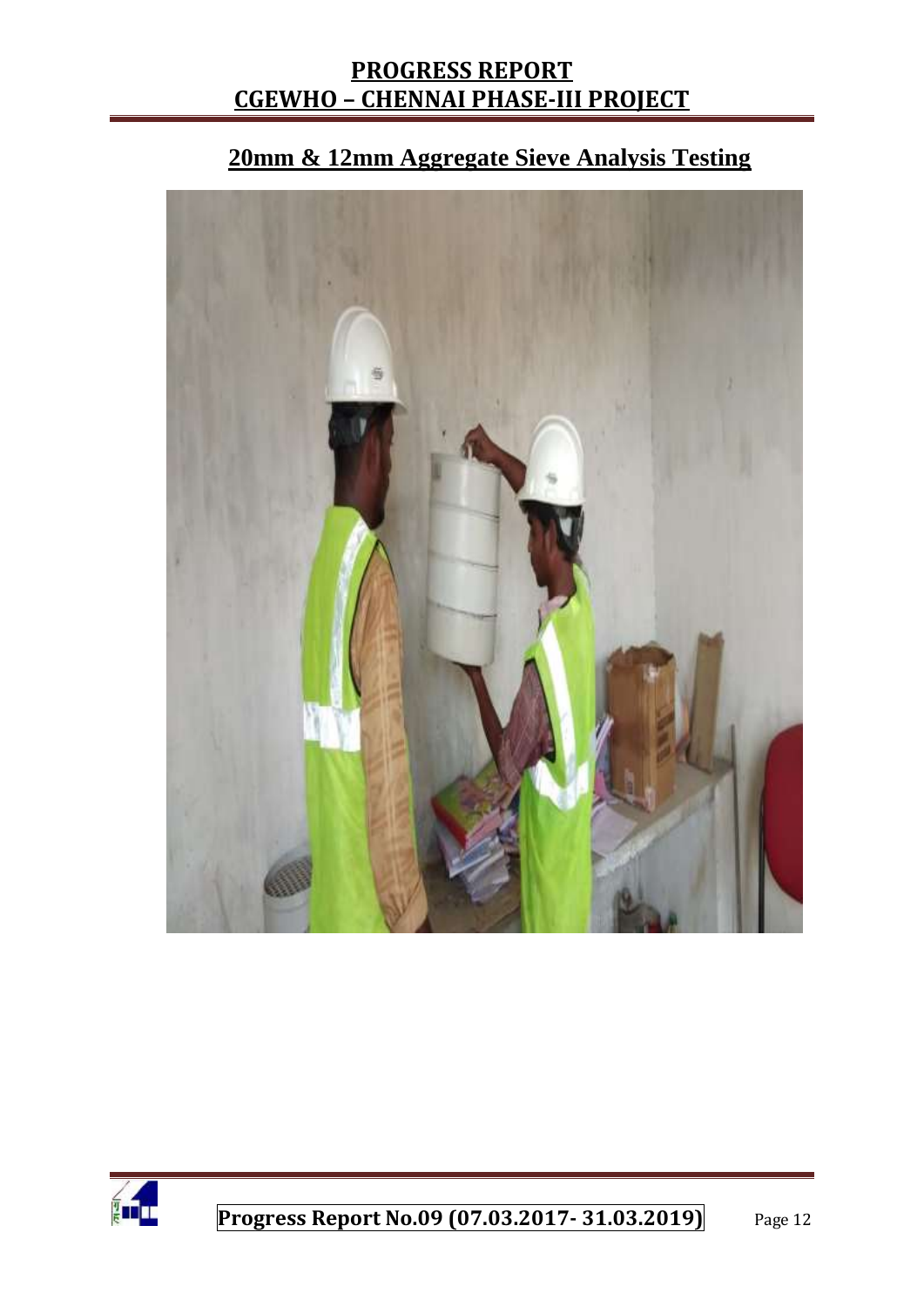

# **20mm & 12mm Aggregate Sieve Analysis Testing**